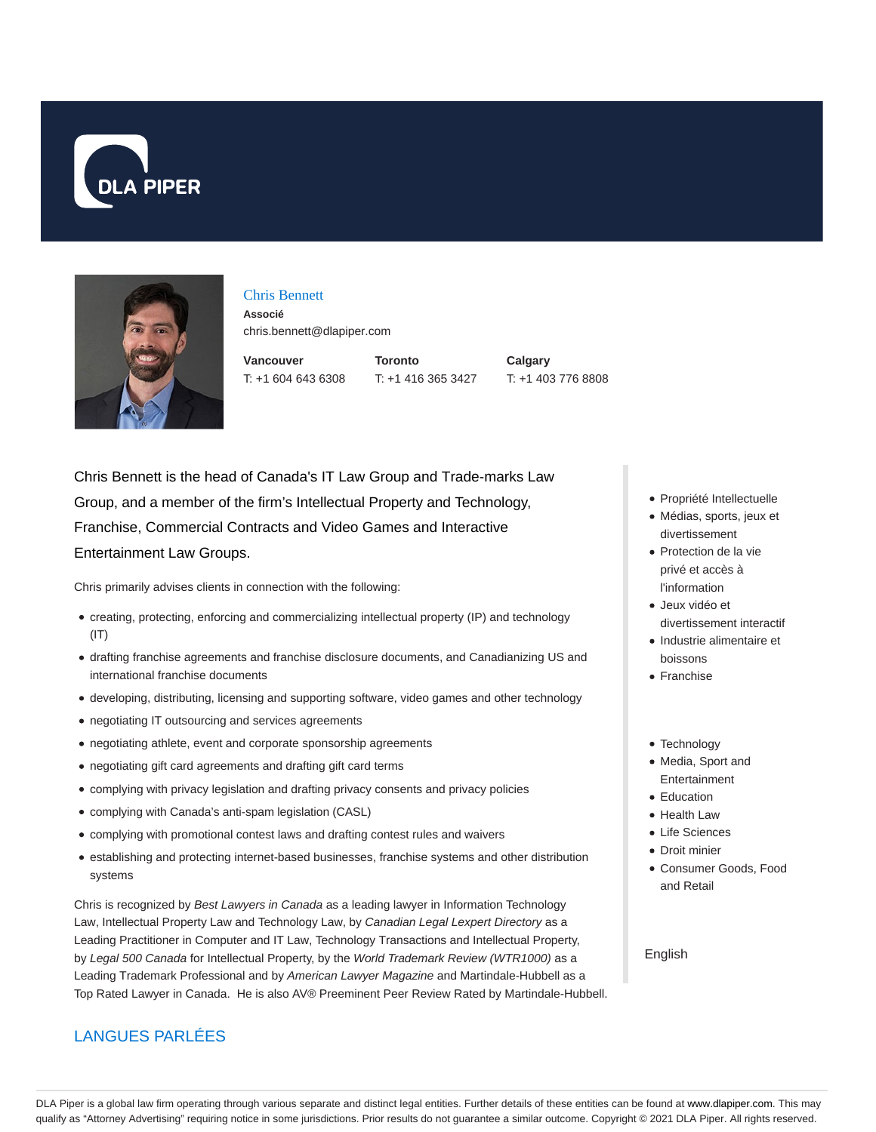



## Chris Bennett

**Associé** chris.bennett@dlapiper.com

**Vancouver** T: +1 604 643 6308 **Toronto** T: +1 416 365 3427 **Calgary** T: +1 403 776 8808

Chris Bennett is the head of Canada's IT Law Group and Trade-marks Law Group, and a member of the firm's Intellectual Property and Technology, Franchise, Commercial Contracts and Video Games and Interactive Entertainment Law Groups.

Chris primarily advises clients in connection with the following:

- creating, protecting, enforcing and commercializing intellectual property (IP) and technology  $(IT)$
- drafting franchise agreements and franchise disclosure documents, and Canadianizing US and international franchise documents
- developing, distributing, licensing and supporting software, video games and other technology
- negotiating IT outsourcing and services agreements
- negotiating athlete, event and corporate sponsorship agreements
- negotiating gift card agreements and drafting gift card terms
- complying with privacy legislation and drafting privacy consents and privacy policies
- complying with Canada's anti-spam legislation (CASL)
- complying with promotional contest laws and drafting contest rules and waivers
- establishing and protecting internet-based businesses, franchise systems and other distribution systems

Chris is recognized by Best Lawyers in Canada as a leading lawyer in Information Technology Law, Intellectual Property Law and Technology Law, by Canadian Legal Lexpert Directory as a Leading Practitioner in Computer and IT Law, Technology Transactions and Intellectual Property, by Legal 500 Canada for Intellectual Property, by the World Trademark Review (WTR1000) as a Leading Trademark Professional and by American Lawyer Magazine and Martindale-Hubbell as a Top Rated Lawyer in Canada. He is also AV® Preeminent Peer Review Rated by Martindale-Hubbell.

## LANGUES PARLÉES

- Propriété Intellectuelle
- Médias, sports, jeux et divertissement
- Protection de la vie privé et accès à l'information
- Jeux vidéo et divertissement interactif
- Industrie alimentaire et boissons
- Franchise
- Technology
- Media, Sport and Entertainment
- Education
- Health Law
- Life Sciences
- Droit minier
- Consumer Goods, Food and Retail

English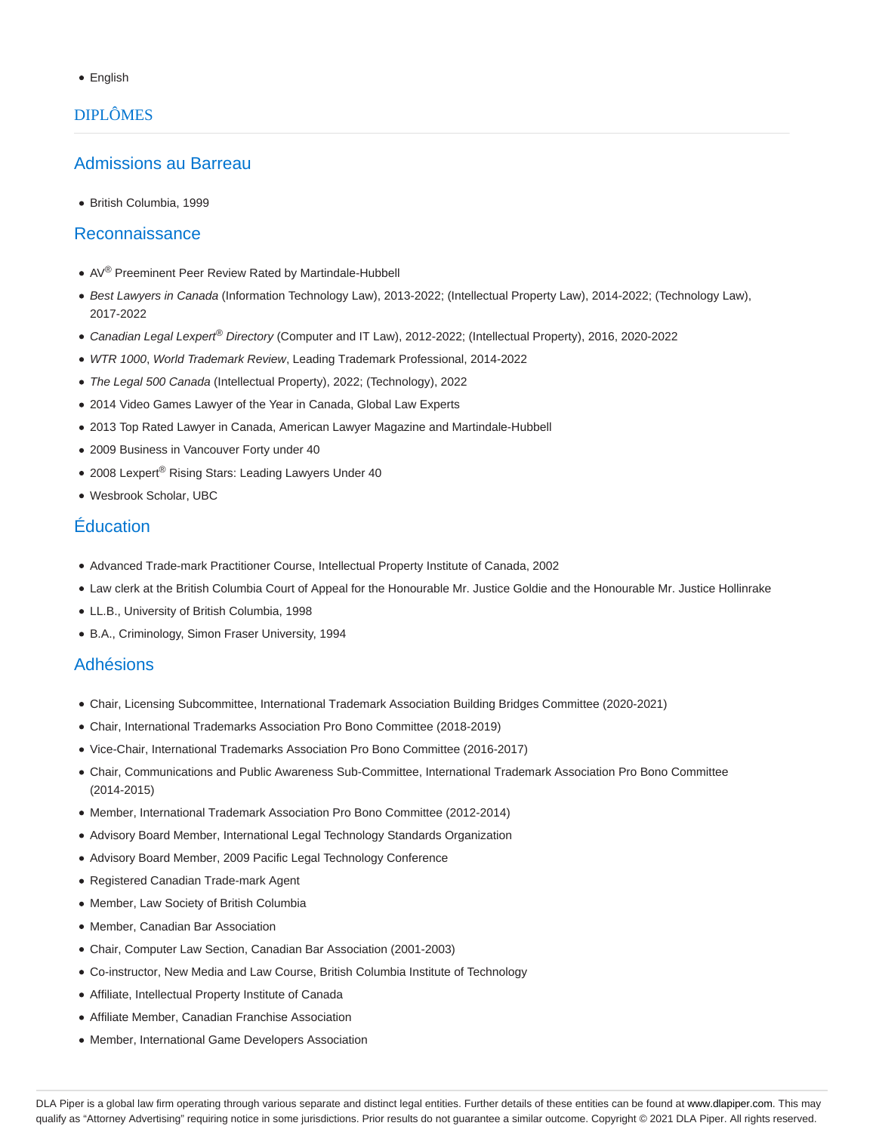English

# DIPLÔMES

### Admissions au Barreau

British Columbia, 1999

#### Reconnaissance

- AV<sup>®</sup> Preeminent Peer Review Rated by Martindale-Hubbell
- · Best Lawyers in Canada (Information Technology Law), 2013-2022; (Intellectual Property Law), 2014-2022; (Technology Law), 2017-2022
- Canadian Legal Lexpert<sup>®</sup> Directory (Computer and IT Law), 2012-2022; (Intellectual Property), 2016, 2020-2022
- WTR 1000, World Trademark Review, Leading Trademark Professional, 2014-2022
- The Legal 500 Canada (Intellectual Property), 2022; (Technology), 2022
- 2014 Video Games Lawyer of the Year in Canada, Global Law Experts
- 2013 Top Rated Lawyer in Canada, American Lawyer Magazine and Martindale-Hubbell
- 2009 Business in Vancouver Forty under 40
- 2008 Lexpert® Rising Stars: Leading Lawyers Under 40
- Wesbrook Scholar, UBC

# Éducation

- Advanced Trade-mark Practitioner Course, Intellectual Property Institute of Canada, 2002
- Law clerk at the British Columbia Court of Appeal for the Honourable Mr. Justice Goldie and the Honourable Mr. Justice Hollinrake
- LL.B., University of British Columbia, 1998
- B.A., Criminology, Simon Fraser University, 1994

### Adhésions

- Chair, Licensing Subcommittee, International Trademark Association Building Bridges Committee (2020-2021)
- Chair, International Trademarks Association Pro Bono Committee (2018-2019)
- Vice-Chair, International Trademarks Association Pro Bono Committee (2016-2017)
- Chair, Communications and Public Awareness Sub-Committee, International Trademark Association Pro Bono Committee (2014-2015)
- Member, International Trademark Association Pro Bono Committee (2012-2014)
- Advisory Board Member, International Legal Technology Standards Organization
- Advisory Board Member, 2009 Pacific Legal Technology Conference
- Registered Canadian Trade-mark Agent
- Member, Law Society of British Columbia
- Member, Canadian Bar Association
- Chair, Computer Law Section, Canadian Bar Association (2001-2003)
- Co-instructor, New Media and Law Course, British Columbia Institute of Technology
- Affiliate, Intellectual Property Institute of Canada
- Affiliate Member, Canadian Franchise Association
- Member, International Game Developers Association